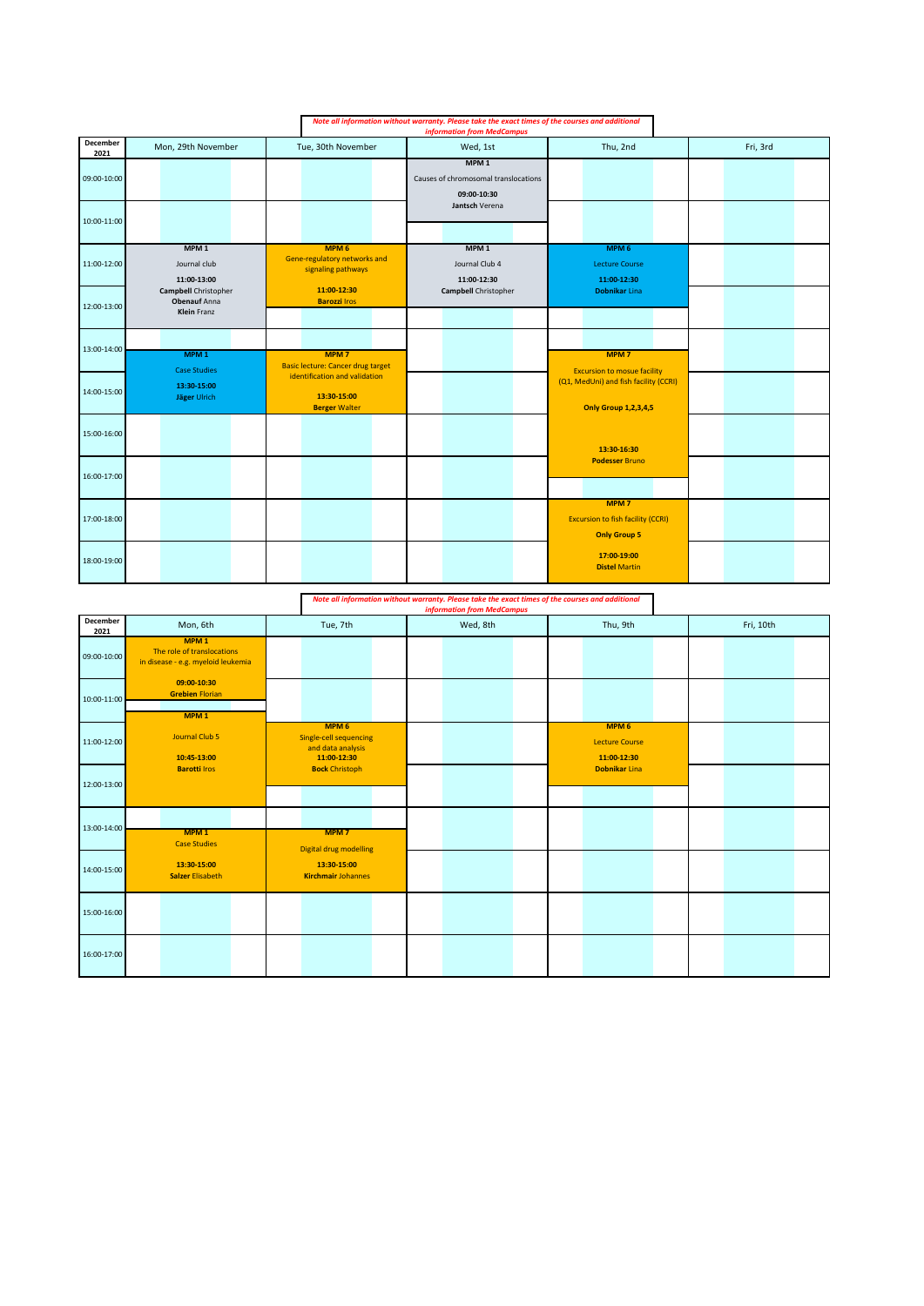| Note all information without warranty. Please take the exact times of the courses and additional<br><b>information from MedCampus</b> |                                                                   |                                                                        |                                                                         |                                                                                     |          |
|---------------------------------------------------------------------------------------------------------------------------------------|-------------------------------------------------------------------|------------------------------------------------------------------------|-------------------------------------------------------------------------|-------------------------------------------------------------------------------------|----------|
| December<br>2021                                                                                                                      | Mon, 29th November                                                | Tue, 30th November                                                     | Wed, 1st                                                                | Thu, 2nd                                                                            | Fri, 3rd |
| 09:00-10:00                                                                                                                           |                                                                   |                                                                        | MPM <sub>1</sub><br>Causes of chromosomal translocations<br>09:00-10:30 |                                                                                     |          |
| 10:00-11:00                                                                                                                           |                                                                   |                                                                        | Jantsch Verena                                                          |                                                                                     |          |
| 11:00-12:00                                                                                                                           | MPM <sub>1</sub><br>Journal club<br>11:00-13:00                   | MPM <sub>6</sub><br>Gene-regulatory networks and<br>signaling pathways | MPM <sub>1</sub><br>Journal Club 4<br>11:00-12:30                       | MPM <sub>6</sub><br><b>Lecture Course</b><br>11:00-12:30                            |          |
| 12:00-13:00                                                                                                                           | Campbell Christopher<br><b>Obenauf Anna</b><br><b>Klein</b> Franz | 11:00-12:30<br><b>Barozzi Iros</b>                                     | Campbell Christopher                                                    | <b>Dobnikar Lina</b>                                                                |          |
| 13:00-14:00                                                                                                                           | MPM <sub>1</sub><br><b>Case Studies</b>                           | MPM <sub>7</sub><br><b>Basic lecture: Cancer drug target</b>           |                                                                         | MPM <sub>7</sub><br><b>Excursion to mosue facility</b>                              |          |
| 14:00-15:00                                                                                                                           | 13:30-15:00<br>Jäger Ulrich                                       | identification and validation<br>13:30-15:00<br><b>Berger Walter</b>   |                                                                         | (Q1, MedUni) and fish facility (CCRI)<br><b>Only Group 1,2,3,4,5</b>                |          |
| 15:00-16:00                                                                                                                           |                                                                   |                                                                        |                                                                         | 13:30-16:30                                                                         |          |
| 16:00-17:00                                                                                                                           |                                                                   |                                                                        |                                                                         | <b>Podesser Bruno</b>                                                               |          |
| 17:00-18:00                                                                                                                           |                                                                   |                                                                        |                                                                         | MPM <sub>7</sub><br><b>Excursion to fish facility (CCRI)</b><br><b>Only Group 5</b> |          |
| 18:00-19:00                                                                                                                           |                                                                   |                                                                        |                                                                         | 17:00-19:00<br><b>Distel Martin</b>                                                 |          |

*Note all information without warranty. Please take the exact times of the courses and additional information from MedCampus*

|                  |                                                                                      |                                                                                | information from MedCampus |                                                          |           |
|------------------|--------------------------------------------------------------------------------------|--------------------------------------------------------------------------------|----------------------------|----------------------------------------------------------|-----------|
| December<br>2021 | Mon, 6th                                                                             | Tue, 7th                                                                       | Wed, 8th                   | Thu, 9th                                                 | Fri, 10th |
| 09:00-10:00      | MPM <sub>1</sub><br>The role of translocations<br>in disease - e.g. myeloid leukemia |                                                                                |                            |                                                          |           |
| 10:00-11:00      | 09:00-10:30<br><b>Grebien Florian</b><br>MPM <sub>1</sub>                            |                                                                                |                            |                                                          |           |
| 11:00-12:00      | Journal Club 5<br>10:45-13:00                                                        | MPM <sub>6</sub><br>Single-cell sequencing<br>and data analysis<br>11:00-12:30 |                            | MPM <sub>6</sub><br><b>Lecture Course</b><br>11:00-12:30 |           |
| 12:00-13:00      | <b>Barotti Iros</b>                                                                  | <b>Bock Christoph</b>                                                          |                            | Dobnikar Lina                                            |           |
| 13:00-14:00      | MPM <sub>1</sub><br><b>Case Studies</b>                                              | MPM <sub>7</sub><br><b>Digital drug modelling</b>                              |                            |                                                          |           |
| 14:00-15:00      | 13:30-15:00<br><b>Salzer Elisabeth</b>                                               | 13:30-15:00<br><b>Kirchmair Johannes</b>                                       |                            |                                                          |           |
| 15:00-16:00      |                                                                                      |                                                                                |                            |                                                          |           |
| 16:00-17:00      |                                                                                      |                                                                                |                            |                                                          |           |